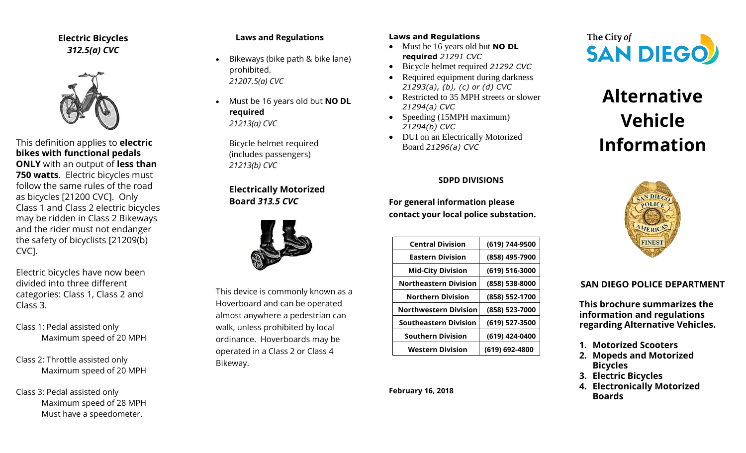**Electric Bicycles** *312.5(a) CVC*



This definition applies to **electric bikes with functional pedals ONLY** with an output of **less than 750 watts**. Electric bicycles must follow the same rules of the road as bicycles [21200 CVC]. Only Class 1 and Class 2 electric bicycles may be ridden in Class 2 Bikeways and the rider must not endanger the safety of bicyclists [21209(b) CVC].

Electric bicycles have now been divided into three different categories: Class 1, Class 2 and Class 3.

Class 1: Pedal assisted only Maximum speed of 20 MPH

Class 2: Throttle assisted only Maximum speed of 20 MPH

Class 3: Pedal assisted only Maximum speed of 28 MPH Must have a speedometer.

#### **Laws and Regulations**

- Bikeways (bike path & bike lane) prohibited. *21207.5(a) CVC*
- Must be 16 years old but **NO DL required** *21213(a) CVC*

Bicycle helmet required (includes passengers) *21213(b) CVC*

## **Electrically Motorized Board** *313.5 CVC*



This device is commonly known as a Hoverboard and can be operated almost anywhere a pedestrian can walk, unless prohibited by local ordinance. Hoverboards may be operated in a Class 2 or Class 4 Bikeway.

#### **Laws and Regulations**

- Must be 16 years old but **NO DL required** *21291 CVC*
- Bicycle helmet required *21292 CVC*
- Required equipment during darkness *21293(a), (b), (c) or (d) CVC*
- Restricted to 35 MPH streets or slower *21294(a) CVC*
- Speeding (15MPH maximum) *21294(b) CVC*
- DUI on an Electrically Motorized Board *21296(a) CVC*

#### **SDPD DIVISIONS**

**For general information please contact your local police substation.** 

| <b>Central Division</b>      | (619) 744-9500 |
|------------------------------|----------------|
| <b>Eastern Division</b>      | (858) 495-7900 |
| <b>Mid-City Division</b>     | (619) 516-3000 |
| <b>Northeastern Division</b> | (858) 538-8000 |
| <b>Northern Division</b>     | (858) 552-1700 |
| <b>Northwestern Division</b> | (858) 523-7000 |
| <b>Southeastern Division</b> | (619) 527-3500 |
| <b>Southern Division</b>     | (619) 424-0400 |
| <b>Western Division</b>      | (619) 692-4800 |
|                              |                |





# **Alternative Vehicle Information**



#### **SAN DIEGO POLICE DEPARTMENT**

**This brochure summarizes the information and regulations regarding Alternative Vehicles.**

- **1. Motorized Scooters**
- **2. Mopeds and Motorized Bicycles**
- **3. Electric Bicycles**
- **4. Electronically Motorized Boards**